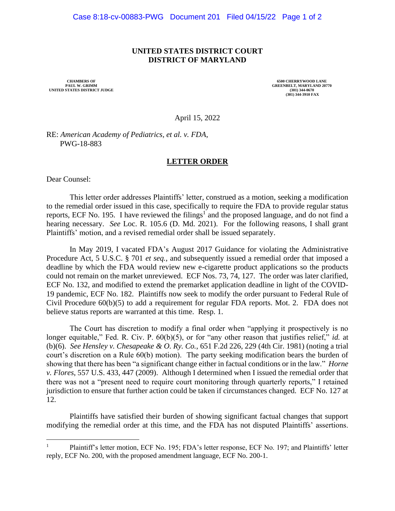## **UNITED STATES DISTRICT COURT DISTRICT OF MARYLAND**

**UNITED STATES DISTRICT JUDGE** 

**CHAMBERS OF 6500 CHERRYWOOD LANE**<br> **CHAMBERS OF GREENBELT, MARYLAND 207 GREENBELT, MARYLAND 20770**<br>(301) 344-0670 **(301) 344-3910 FAX**

April 15, 2022

RE: *American Academy of Pediatrics, et al. v. FDA*, PWG-18-883

## **LETTER ORDER**

Dear Counsel:

This letter order addresses Plaintiffs' letter, construed as a motion, seeking a modification to the remedial order issued in this case, specifically to require the FDA to provide regular status reports, ECF No. 195. I have reviewed the filings<sup>1</sup> and the proposed language, and do not find a hearing necessary. *See* Loc. R. 105.6 (D. Md. 2021). For the following reasons, I shall grant Plaintiffs' motion, and a revised remedial order shall be issued separately.

In May 2019, I vacated FDA's August 2017 Guidance for violating the Administrative Procedure Act, 5 U.S.C. § 701 *et seq.*, and subsequently issued a remedial order that imposed a deadline by which the FDA would review new e-cigarette product applications so the products could not remain on the market unreviewed. ECF Nos. 73, 74, 127. The order was later clarified, ECF No. 132, and modified to extend the premarket application deadline in light of the COVID-19 pandemic, ECF No. 182. Plaintiffs now seek to modify the order pursuant to Federal Rule of Civil Procedure 60(b)(5) to add a requirement for regular FDA reports. Mot. 2. FDA does not believe status reports are warranted at this time. Resp. 1.

The Court has discretion to modify a final order when "applying it prospectively is no longer equitable," Fed. R. Civ. P. 60(b)(5), or for "any other reason that justifies relief," *id.* at (b)(6). *See Hensley v. Chesapeake & O. Ry. Co.*, 651 F.2d 226, 229 (4th Cir. 1981) (noting a trial court's discretion on a Rule 60(b) motion). The party seeking modification bears the burden of showing that there has been "a significant change either in factual conditions or in the law." *Horne v. Flores*, 557 U.S. 433, 447 (2009). Although I determined when I issued the remedial order that there was not a "present need to require court monitoring through quarterly reports," I retained jurisdiction to ensure that further action could be taken if circumstances changed. ECF No. 127 at 12.

Plaintiffs have satisfied their burden of showing significant factual changes that support modifying the remedial order at this time, and the FDA has not disputed Plaintiffs' assertions.

<sup>1</sup> Plaintiff's letter motion, ECF No. 195; FDA's letter response, ECF No. 197; and Plaintiffs' letter reply, ECF No. 200, with the proposed amendment language, ECF No. 200-1.